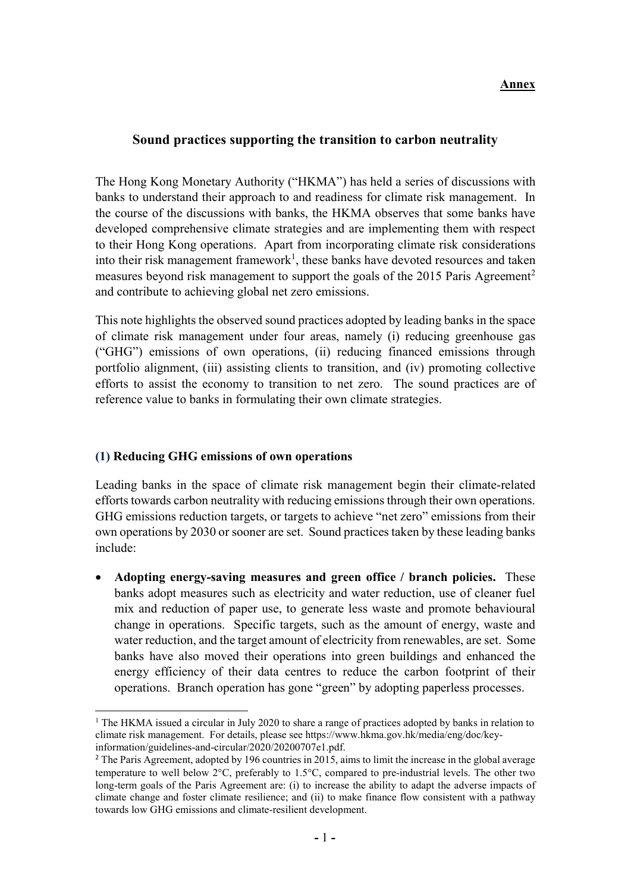#### **Annex Annex**

### Sound practices supporting the transition to carbon neutrality

The Hong Kong Monetary Authority ("HKMA") has held a series of discussions with banks to understand their approach to and readiness for climate risk management. In the course of the discussions with banks, the HKMA observes that some banks have developed comprehensive climate strategies and are implementing them with respect to their Hong Kong operations. Apart from incorporating climate risk considerations into their risk management framework<sup>1</sup>, these banks have devoted resources and taken measures beyond risk management to support the goals of the 2015 Paris Agreement<sup>2</sup> and contribute to achieving global net zero emissions.

This note highlights the observed sound practices adopted by leading banks in the space of climate risk management under four areas, namely (i) reducing greenhouse gas ("GHG") emissions of own operations, (ii) reducing financed emissions through portfolio alignment, (iii) assisting clients to transition, and (iv) promoting collective efforts to assist the economy to transition to net zero. The sound practices are of reference value to banks in formulating their own climate strategies.

#### (1) Reducing GHG emissions of own operations

-

Leading banks in the space of climate risk management begin their climate-related efforts towards carbon neutrality with reducing emissions through their own operations. GHG emissions reduction targets, or targets to achieve "net zero" emissions from their own operations by 2030 or sooner are set. Sound practices taken by these leading banks include:

 Adopting energy-saving measures and green office / branch policies. These banks adopt measures such as electricity and water reduction, use of cleaner fuel mix and reduction of paper use, to generate less waste and promote behavioural change in operations. Specific targets, such as the amount of energy, waste and water reduction, and the target amount of electricity from renewables, are set. Some banks have also moved their operations into green buildings and enhanced the energy efficiency of their data centres to reduce the carbon footprint of their operations. Branch operation has gone "green" by adopting paperless processes.

<sup>&</sup>lt;sup>1</sup> The HKMA issued a circular in July 2020 to share a range of practices adopted by banks in relation to climate risk management. For details, please see https://www.hkma.gov.hk/media/eng/doc/keyinformation/guidelines-and-circular/2020/20200707e1.pdf.

<sup>&</sup>lt;sup>2</sup> The Paris Agreement, adopted by 196 countries in 2015, aims to limit the increase in the global average temperature to well below  $2^{\circ}$ C, preferably to 1.5 $^{\circ}$ C, compared to pre-industrial levels. The other two long-term goals of the Paris Agreement are: (i) to increase the ability to adapt the adverse impacts of climate change and foster climate resilience; and (ii) to make finance flow consistent with a pathway towards low GHG emissions and climate-resilient development.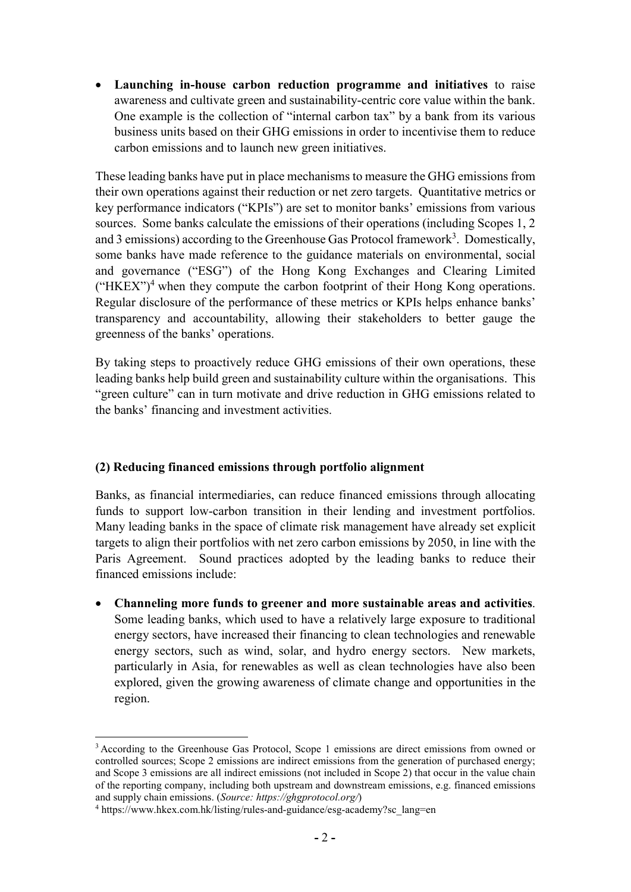Launching in-house carbon reduction programme and initiatives to raise awareness and cultivate green and sustainability-centric core value within the bank. One example is the collection of "internal carbon tax" by a bank from its various business units based on their GHG emissions in order to incentivise them to reduce carbon emissions and to launch new green initiatives.

These leading banks have put in place mechanisms to measure the GHG emissions from their own operations against their reduction or net zero targets. Quantitative metrics or key performance indicators ("KPIs") are set to monitor banks' emissions from various sources. Some banks calculate the emissions of their operations (including Scopes 1, 2 and 3 emissions) according to the Greenhouse Gas Protocol framework<sup>3</sup>. Domestically, some banks have made reference to the guidance materials on environmental, social and governance ("ESG") of the Hong Kong Exchanges and Clearing Limited  $("HKEX")<sup>4</sup>$  when they compute the carbon footprint of their Hong Kong operations. Regular disclosure of the performance of these metrics or KPIs helps enhance banks' transparency and accountability, allowing their stakeholders to better gauge the greenness of the banks' operations.

By taking steps to proactively reduce GHG emissions of their own operations, these leading banks help build green and sustainability culture within the organisations. This "green culture" can in turn motivate and drive reduction in GHG emissions related to the banks' financing and investment activities.

# (2) Reducing financed emissions through portfolio alignment

Banks, as financial intermediaries, can reduce financed emissions through allocating funds to support low-carbon transition in their lending and investment portfolios. Many leading banks in the space of climate risk management have already set explicit targets to align their portfolios with net zero carbon emissions by 2050, in line with the Paris Agreement. Sound practices adopted by the leading banks to reduce their financed emissions include:

 Channeling more funds to greener and more sustainable areas and activities. Some leading banks, which used to have a relatively large exposure to traditional energy sectors, have increased their financing to clean technologies and renewable energy sectors, such as wind, solar, and hydro energy sectors. New markets, particularly in Asia, for renewables as well as clean technologies have also been explored, given the growing awareness of climate change and opportunities in the region.

-

<sup>&</sup>lt;sup>3</sup> According to the Greenhouse Gas Protocol, Scope 1 emissions are direct emissions from owned or controlled sources; Scope 2 emissions are indirect emissions from the generation of purchased energy; and Scope 3 emissions are all indirect emissions (not included in Scope 2) that occur in the value chain of the reporting company, including both upstream and downstream emissions, e.g. financed emissions and supply chain emissions. (Source: https://ghgprotocol.org/)

<sup>&</sup>lt;sup>4</sup> https://www.hkex.com.hk/listing/rules-and-guidance/esg-academy?sc\_lang=en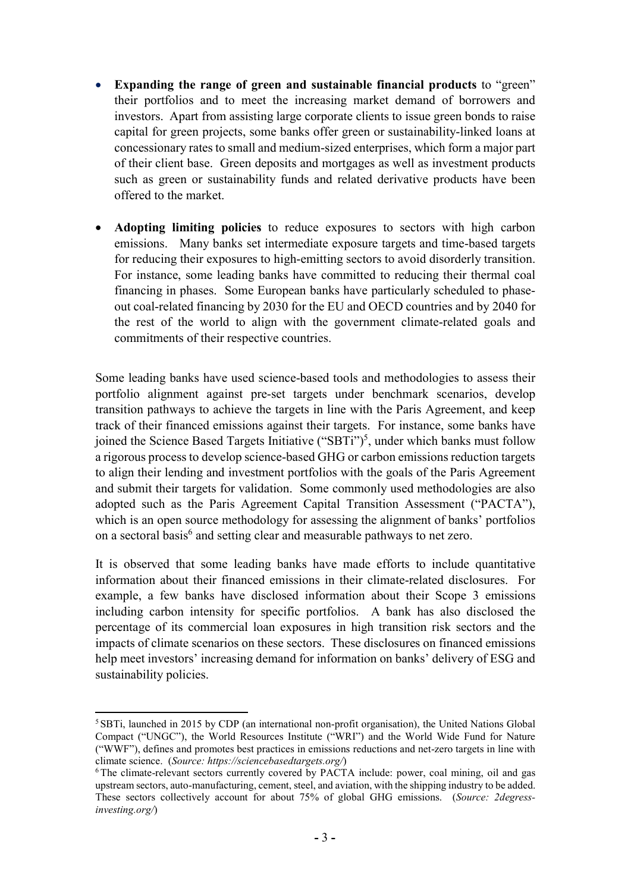- Expanding the range of green and sustainable financial products to "green" their portfolios and to meet the increasing market demand of borrowers and investors. Apart from assisting large corporate clients to issue green bonds to raise capital for green projects, some banks offer green or sustainability-linked loans at concessionary rates to small and medium-sized enterprises, which form a major part of their client base. Green deposits and mortgages as well as investment products such as green or sustainability funds and related derivative products have been offered to the market.
- Adopting limiting policies to reduce exposures to sectors with high carbon emissions. Many banks set intermediate exposure targets and time-based targets for reducing their exposures to high-emitting sectors to avoid disorderly transition. For instance, some leading banks have committed to reducing their thermal coal financing in phases. Some European banks have particularly scheduled to phaseout coal-related financing by 2030 for the EU and OECD countries and by 2040 for the rest of the world to align with the government climate-related goals and commitments of their respective countries.

Some leading banks have used science-based tools and methodologies to assess their portfolio alignment against pre-set targets under benchmark scenarios, develop transition pathways to achieve the targets in line with the Paris Agreement, and keep track of their financed emissions against their targets. For instance, some banks have joined the Science Based Targets Initiative ("SBTi")<sup>5</sup>, under which banks must follow a rigorous process to develop science-based GHG or carbon emissions reduction targets to align their lending and investment portfolios with the goals of the Paris Agreement and submit their targets for validation. Some commonly used methodologies are also adopted such as the Paris Agreement Capital Transition Assessment ("PACTA"), which is an open source methodology for assessing the alignment of banks' portfolios on a sectoral basis<sup>6</sup> and setting clear and measurable pathways to net zero.

It is observed that some leading banks have made efforts to include quantitative information about their financed emissions in their climate-related disclosures. For example, a few banks have disclosed information about their Scope 3 emissions including carbon intensity for specific portfolios. A bank has also disclosed the percentage of its commercial loan exposures in high transition risk sectors and the impacts of climate scenarios on these sectors. These disclosures on financed emissions help meet investors' increasing demand for information on banks' delivery of ESG and sustainability policies.

<sup>-</sup><sup>5</sup> SBTi, launched in 2015 by CDP (an international non-profit organisation), the United Nations Global Compact ("UNGC"), the World Resources Institute ("WRI") and the World Wide Fund for Nature ("WWF"), defines and promotes best practices in emissions reductions and net-zero targets in line with climate science. (Source: https://sciencebasedtargets.org/)

<sup>6</sup>The climate-relevant sectors currently covered by PACTA include: power, coal mining, oil and gas upstream sectors, auto-manufacturing, cement, steel, and aviation, with the shipping industry to be added. These sectors collectively account for about 75% of global GHG emissions. (Source: 2degressinvesting.org/)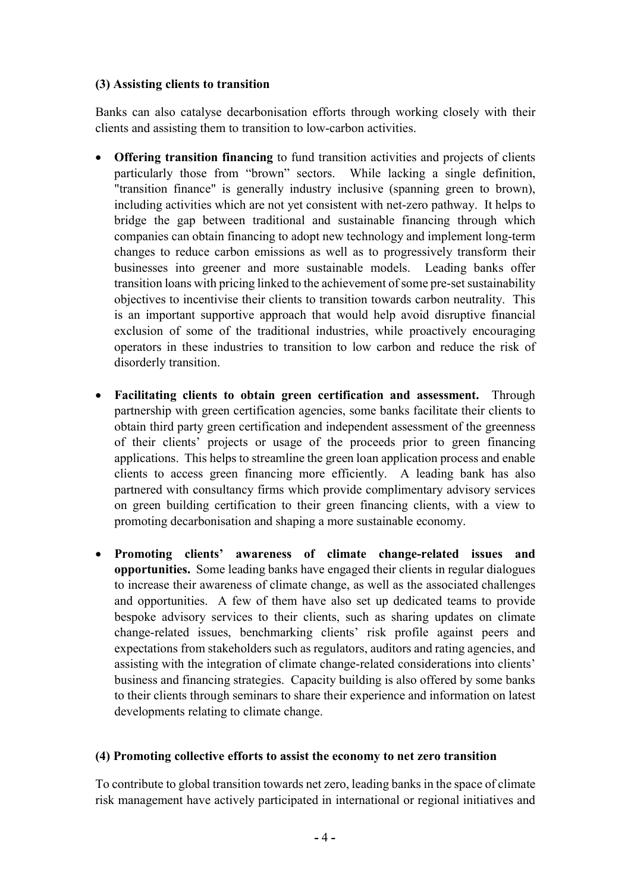# (3) Assisting clients to transition

Banks can also catalyse decarbonisation efforts through working closely with their clients and assisting them to transition to low-carbon activities.

- Offering transition financing to fund transition activities and projects of clients particularly those from "brown" sectors. While lacking a single definition, "transition finance" is generally industry inclusive (spanning green to brown), including activities which are not yet consistent with net-zero pathway. It helps to bridge the gap between traditional and sustainable financing through which companies can obtain financing to adopt new technology and implement long-term changes to reduce carbon emissions as well as to progressively transform their businesses into greener and more sustainable models. Leading banks offer transition loans with pricing linked to the achievement of some pre-set sustainability objectives to incentivise their clients to transition towards carbon neutrality. This is an important supportive approach that would help avoid disruptive financial exclusion of some of the traditional industries, while proactively encouraging operators in these industries to transition to low carbon and reduce the risk of disorderly transition.
- Facilitating clients to obtain green certification and assessment. Through partnership with green certification agencies, some banks facilitate their clients to obtain third party green certification and independent assessment of the greenness of their clients' projects or usage of the proceeds prior to green financing applications. This helps to streamline the green loan application process and enable clients to access green financing more efficiently. A leading bank has also partnered with consultancy firms which provide complimentary advisory services on green building certification to their green financing clients, with a view to promoting decarbonisation and shaping a more sustainable economy.
- Promoting clients' awareness of climate change-related issues and opportunities. Some leading banks have engaged their clients in regular dialogues to increase their awareness of climate change, as well as the associated challenges and opportunities. A few of them have also set up dedicated teams to provide bespoke advisory services to their clients, such as sharing updates on climate change-related issues, benchmarking clients' risk profile against peers and expectations from stakeholders such as regulators, auditors and rating agencies, and assisting with the integration of climate change-related considerations into clients' business and financing strategies. Capacity building is also offered by some banks to their clients through seminars to share their experience and information on latest developments relating to climate change.

# (4) Promoting collective efforts to assist the economy to net zero transition

To contribute to global transition towards net zero, leading banks in the space of climate risk management have actively participated in international or regional initiatives and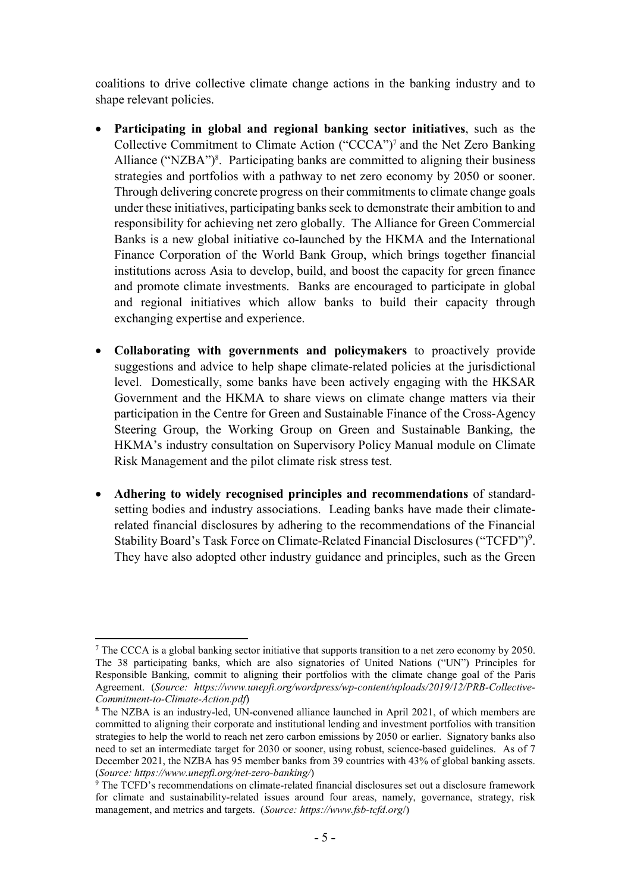coalitions to drive collective climate change actions in the banking industry and to shape relevant policies.

- Participating in global and regional banking sector initiatives, such as the Collective Commitment to Climate Action ("CCCA")<sup>7</sup> and the Net Zero Banking Alliance ("NZBA")<sup>8</sup>. Participating banks are committed to aligning their business strategies and portfolios with a pathway to net zero economy by 2050 or sooner. Through delivering concrete progress on their commitments to climate change goals under these initiatives, participating banks seek to demonstrate their ambition to and responsibility for achieving net zero globally. The Alliance for Green Commercial Banks is a new global initiative co-launched by the HKMA and the International Finance Corporation of the World Bank Group, which brings together financial institutions across Asia to develop, build, and boost the capacity for green finance and promote climate investments. Banks are encouraged to participate in global and regional initiatives which allow banks to build their capacity through exchanging expertise and experience.
- Collaborating with governments and policymakers to proactively provide suggestions and advice to help shape climate-related policies at the jurisdictional level. Domestically, some banks have been actively engaging with the HKSAR Government and the HKMA to share views on climate change matters via their participation in the Centre for Green and Sustainable Finance of the Cross-Agency Steering Group, the Working Group on Green and Sustainable Banking, the HKMA's industry consultation on Supervisory Policy Manual module on Climate Risk Management and the pilot climate risk stress test.
- Adhering to widely recognised principles and recommendations of standardsetting bodies and industry associations. Leading banks have made their climaterelated financial disclosures by adhering to the recommendations of the Financial Stability Board's Task Force on Climate-Related Financial Disclosures ("TCFD")<sup>9</sup>. They have also adopted other industry guidance and principles, such as the Green

<sup>-</sup><sup>7</sup> The CCCA is a global banking sector initiative that supports transition to a net zero economy by 2050. The 38 participating banks, which are also signatories of United Nations ("UN") Principles for Responsible Banking, commit to aligning their portfolios with the climate change goal of the Paris Agreement. (Source: https://www.unepfi.org/wordpress/wp-content/uploads/2019/12/PRB-Collective-Commitment-to-Climate-Action.pdf)

<sup>&</sup>lt;sup>8</sup> The NZBA is an industry-led, UN-convened alliance launched in April 2021, of which members are committed to aligning their corporate and institutional lending and investment portfolios with transition strategies to help the world to reach net zero carbon emissions by 2050 or earlier. Signatory banks also need to set an intermediate target for 2030 or sooner, using robust, science-based guidelines. As of 7 December 2021, the NZBA has 95 member banks from 39 countries with 43% of global banking assets. (Source: https://www.unepfi.org/net-zero-banking/)

<sup>&</sup>lt;sup>9</sup> The TCFD's recommendations on climate-related financial disclosures set out a disclosure framework for climate and sustainability-related issues around four areas, namely, governance, strategy, risk management, and metrics and targets. (Source: https://www.fsb-tcfd.org/)